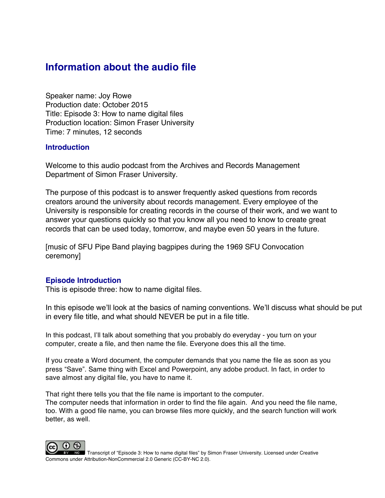# **Information about the audio file**

Speaker name: Joy Rowe Production date: October 2015 Title: Episode 3: How to name digital files Production location: Simon Fraser University Time: 7 minutes, 12 seconds

# **Introduction**

Welcome to this audio podcast from the Archives and Records Management Department of Simon Fraser University.

The purpose of this podcast is to answer frequently asked questions from records creators around the university about records management. Every employee of the University is responsible for creating records in the course of their work, and we want to answer your questions quickly so that you know all you need to know to create great records that can be used today, tomorrow, and maybe even 50 years in the future.

[music of SFU Pipe Band playing bagpipes during the 1969 SFU Convocation ceremony]

# **Episode Introduction**

This is episode three: how to name digital files.

In this episode we'll look at the basics of naming conventions. We'll discuss what should be put in every file title, and what should NEVER be put in a file title.

In this podcast, I'll talk about something that you probably do everyday - you turn on your computer, create a file, and then name the file. Everyone does this all the time.

If you create a Word document, the computer demands that you name the file as soon as you press "Save". Same thing with Excel and Powerpoint, any adobe product. In fact, in order to save almost any digital file, you have to name it.

That right there tells you that the file name is important to the computer.

The computer needs that information in order to find the file again. And you need the file name, too. With a good file name, you can browse files more quickly, and the search function will work better, as well.



Transcript of "Episode 3: How to name digital files" by Simon Fraser University. Licensed under Creative Commons under Attribution-NonCommercial 2.0 Generic (CC-BY-NC 2.0).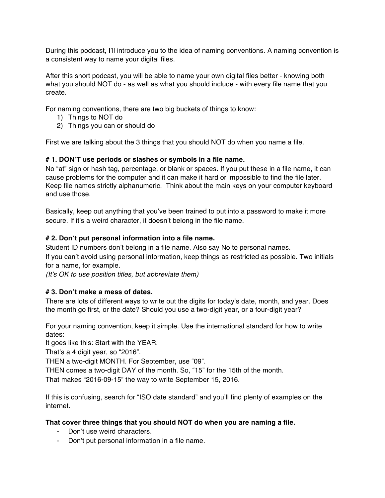During this podcast, I'll introduce you to the idea of naming conventions. A naming convention is a consistent way to name your digital files.

After this short podcast, you will be able to name your own digital files better - knowing both what you should NOT do - as well as what you should include - with every file name that you create.

For naming conventions, there are two big buckets of things to know:

- 1) Things to NOT do
- 2) Things you can or should do

First we are talking about the 3 things that you should NOT do when you name a file.

#### **# 1. DON**'**T use periods or slashes or symbols in a file name.**

No "at" sign or hash tag, percentage, or blank or spaces. If you put these in a file name, it can cause problems for the computer and it can make it hard or impossible to find the file later. Keep file names strictly alphanumeric. Think about the main keys on your computer keyboard and use those.

Basically, keep out anything that you've been trained to put into a password to make it more secure. If it's a weird character, it doesn't belong in the file name.

#### **# 2. Don**'**t put personal information into a file name.**

Student ID numbers don't belong in a file name. Also say No to personal names.

If you can't avoid using personal information, keep things as restricted as possible. Two initials for a name, for example.

*(It*'*s OK to use position titles, but abbreviate them)*

#### **# 3. Don**'**t make a mess of dates.**

There are lots of different ways to write out the digits for today's date, month, and year. Does the month go first, or the date? Should you use a two-digit year, or a four-digit year?

For your naming convention, keep it simple. Use the international standard for how to write dates:

It goes like this: Start with the YEAR.

That's a 4 digit year, so "2016".

THEN a two-digit MONTH. For September, use "09".

THEN comes a two-digit DAY of the month. So, "15" for the 15th of the month.

That makes "2016-09-15" the way to write September 15, 2016.

If this is confusing, search for "ISO date standard" and you'll find plenty of examples on the internet.

#### **That cover three things that you should NOT do when you are naming a file.**

- Don't use weird characters.
- Don't put personal information in a file name.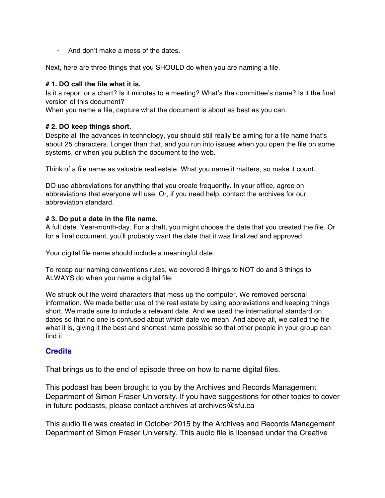- And don't make a mess of the dates.

Next, here are three things that you SHOULD do when you are naming a file.

## **# 1. DO call the file what it is.**

Is it a report or a chart? Is it minutes to a meeting? What's the committee's name? Is it the final version of this document?

When you name a file, capture what the document is about as best as you can.

### **# 2. DO keep things short.**

Despite all the advances in technology, you should still really be aiming for a file name that's about 25 characters. Longer than that, and you run into issues when you open the file on some systems, or when you publish the document to the web.

Think of a file name as valuable real estate. What you name it matters, so make it count.

DO use abbreviations for anything that you create frequently. In your office, agree on abbreviations that everyone will use. Or, if you need help, contact the archives for our abbreviation standard.

#### **# 3. Do put a date in the file name.**

A full date. Year-month-day. For a draft, you might choose the date that you created the file. Or for a final document, you'll probably want the date that it was finalized and approved.

Your digital file name should include a meaningful date.

To recap our naming conventions rules, we covered 3 things to NOT do and 3 things to ALWAYS do when you name a digital file.

We struck out the weird characters that mess up the computer. We removed personal information. We made better use of the real estate by using abbreviations and keeping things short. We made sure to include a relevant date. And we used the international standard on dates so that no one is confused about which date we mean. And above all, we called the file what it is, giving it the best and shortest name possible so that other people in your group can find it.

# **Credits**

That brings us to the end of episode three on how to name digital files.

This podcast has been brought to you by the Archives and Records Management Department of Simon Fraser University. If you have suggestions for other topics to cover in future podcasts, please contact archives at archives@sfu.ca

This audio file was created in October 2015 by the Archives and Records Management Department of Simon Fraser University. This audio file is licensed under the Creative